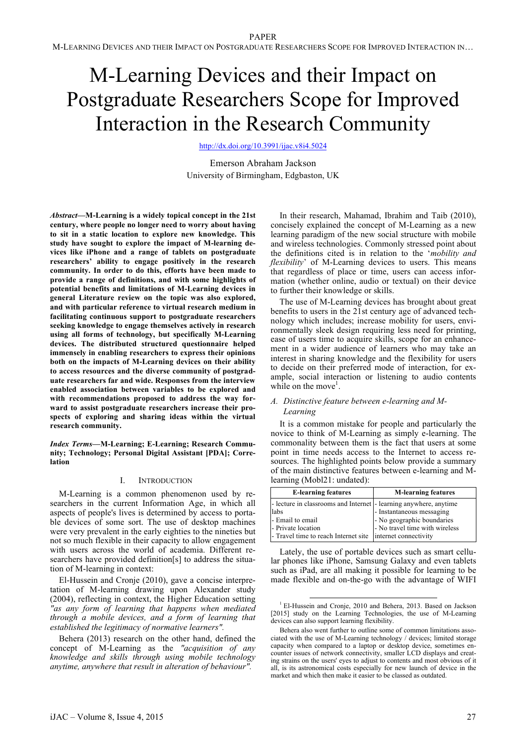M-LEARNING DEVICES AND THEIR IMPACT ON POSTGRADUATE RESEARCHERS SCOPE FOR IMPROVED INTERACTION IN…

# M-Learning Devices and their Impact on Postgraduate Researchers Scope for Improved Interaction in the Research Community

http://dx.doi.org/10.3991/ijac.v8i4.5024

Emerson Abraham Jackson University of Birmingham, Edgbaston, UK

*Abstract—***M-Learning is a widely topical concept in the 21st century, where people no longer need to worry about having to sit in a static location to explore new knowledge. This study have sought to explore the impact of M-learning devices like iPhone and a range of tablets on postgraduate researchers' ability to engage positively in the research community. In order to do this, efforts have been made to provide a range of definitions, and with some highlights of potential benefits and limitations of M-Learning devices in general Literature review on the topic was also explored, and with particular reference to virtual research medium in facilitating continuous support to postgraduate researchers seeking knowledge to engage themselves actively in research using all forms of technology, but specifically M-Learning devices. The distributed structured questionnaire helped immensely in enabling researchers to express their opinions both on the impacts of M-Learning devices on their ability to access resources and the diverse community of postgraduate researchers far and wide. Responses from the interview enabled association between variables to be explored and with recommendations proposed to address the way forward to assist postgraduate researchers increase their prospects of exploring and sharing ideas within the virtual research community.**

*Index Terms—***M-Learning; E-Learning; Research Community; Technology; Personal Digital Assistant [PDA]; Correlation**

## I. INTRODUCTION

M-Learning is a common phenomenon used by researchers in the current Information Age, in which all aspects of people's lives is determined by access to portable devices of some sort. The use of desktop machines were very prevalent in the early eighties to the nineties but not so much flexible in their capacity to allow engagement with users across the world of academia. Different researchers have provided definition[s] to address the situation of M-learning in context:

El-Hussein and Cronje (2010), gave a concise interpretation of M-learning drawing upon Alexander study (2004), reflecting in context, the Higher Education setting *"as any form of learning that happens when mediated through a mobile devices, and a form of learning that established the legitimacy of normative learners".*

Behera (2013) research on the other hand, defined the concept of M-Learning as the *"acquisition of any knowledge and skills through using mobile technology anytime, anywhere that result in alteration of behaviour".* 

In their research, Mahamad, Ibrahim and Taib (2010), concisely explained the concept of M-Learning as a new learning paradigm of the new social structure with mobile and wireless technologies. Commonly stressed point about the definitions cited is in relation to the '*mobility and flexibility*' of M-Learning devices to users. This means that regardless of place or time, users can access information (whether online, audio or textual) on their device to further their knowledge or skills.

The use of M-Learning devices has brought about great benefits to users in the 21st century age of advanced technology which includes; increase mobility for users, environmentally sleek design requiring less need for printing, ease of users time to acquire skills, scope for an enhancement in a wider audience of learners who may take an interest in sharing knowledge and the flexibility for users to decide on their preferred mode of interaction, for example, social interaction or listening to audio contents while on the move<sup>1</sup>.

# *A. Distinctive feature between e-learning and M-Learning*

It is a common mistake for people and particularly the novice to think of M-Learning as simply e-learning. The commonality between them is the fact that users at some point in time needs access to the Internet to access resources. The highlighted points below provide a summary of the main distinctive features between e-learning and Mlearning (Mobl21: undated):

| <b>E-learning features</b>                                         | <b>M-learning features</b>     |  |
|--------------------------------------------------------------------|--------------------------------|--|
| - lecture in classrooms and Internet  - learning anywhere, anytime |                                |  |
| labs                                                               | - Instantaneous messaging      |  |
| - Email to email                                                   | - No geographic boundaries     |  |
| - Private location                                                 | - No travel time with wireless |  |
| - Travel time to reach Internet site                               | internet connectivity          |  |

Lately, the use of portable devices such as smart cellular phones like iPhone, Samsung Galaxy and even tablets such as iPad, are all making it possible for learning to be made flexible and on-the-go with the advantage of WIFI

 <sup>1</sup> El-Hussein and Cronje, 2010 and Behera, 2013. Based on Jackson [2015] study on the Learning Technologies, the use of M-Learning devices can also support learning flexibility.

Behera also went further to outline some of common limitations associated with the use of M-Learning technology / devices; limited storage capacity when compared to a laptop or desktop device, sometimes encounter issues of network connectivity, smaller LCD displays and creating strains on the users' eyes to adjust to contents and most obvious of it all, is its astronomical costs especially for new launch of device in the market and which then make it easier to be classed as outdated.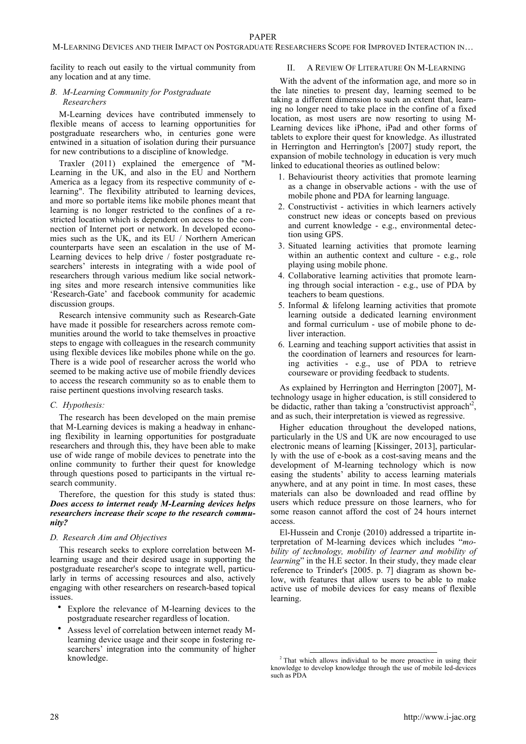facility to reach out easily to the virtual community from any location and at any time.

# *B. M-Learning Community for Postgraduate Researchers*

M-Learning devices have contributed immensely to flexible means of access to learning opportunities for postgraduate researchers who, in centuries gone were entwined in a situation of isolation during their pursuance for new contributions to a discipline of knowledge.

Traxler (2011) explained the emergence of "M-Learning in the UK, and also in the EU and Northern America as a legacy from its respective community of elearning". The flexibility attributed to learning devices, and more so portable items like mobile phones meant that learning is no longer restricted to the confines of a restricted location which is dependent on access to the connection of Internet port or network. In developed economies such as the UK, and its EU / Northern American counterparts have seen an escalation in the use of M-Learning devices to help drive / foster postgraduate researchers' interests in integrating with a wide pool of researchers through various medium like social networking sites and more research intensive communities like 'Research-Gate' and facebook community for academic discussion groups.

Research intensive community such as Research-Gate have made it possible for researchers across remote communities around the world to take themselves in proactive steps to engage with colleagues in the research community using flexible devices like mobiles phone while on the go. There is a wide pool of researcher across the world who seemed to be making active use of mobile friendly devices to access the research community so as to enable them to raise pertinent questions involving research tasks.

## *C. Hypothesis:*

The research has been developed on the main premise that M-Learning devices is making a headway in enhancing flexibility in learning opportunities for postgraduate researchers and through this, they have been able to make use of wide range of mobile devices to penetrate into the online community to further their quest for knowledge through questions posed to participants in the virtual research community.

Therefore, the question for this study is stated thus: *Does access to internet ready M-Learning devices helps researchers increase their scope to the research community?*

## *D. Research Aim and Objectives*

This research seeks to explore correlation between Mlearning usage and their desired usage in supporting the postgraduate researcher's scope to integrate well, particularly in terms of accessing resources and also, actively engaging with other researchers on research-based topical issues.

- Explore the relevance of M-learning devices to the postgraduate researcher regardless of location.
- Assess level of correlation between internet ready Mlearning device usage and their scope in fostering researchers' integration into the community of higher knowledge.

# II. A REVIEW OF LITERATURE ON M-LEARNING

With the advent of the information age, and more so in the late nineties to present day, learning seemed to be taking a different dimension to such an extent that, learning no longer need to take place in the confine of a fixed location, as most users are now resorting to using M-Learning devices like iPhone, iPad and other forms of tablets to explore their quest for knowledge. As illustrated in Herrington and Herrington's [2007] study report, the expansion of mobile technology in education is very much linked to educational theories as outlined below:

- 1. Behaviourist theory activities that promote learning as a change in observable actions - with the use of mobile phone and PDA for learning language.
- 2. Constructivist activities in which learners actively construct new ideas or concepts based on previous and current knowledge - e.g., environmental detection using GPS.
- 3. Situated learning activities that promote learning within an authentic context and culture - e.g., role playing using mobile phone.
- 4. Collaborative learning activities that promote learning through social interaction - e.g., use of PDA by teachers to beam questions.
- 5. Informal & lifelong learning activities that promote learning outside a dedicated learning environment and formal curriculum - use of mobile phone to deliver interaction.
- 6. Learning and teaching support activities that assist in the coordination of learners and resources for learning activities - e.g., use of PDA to retrieve courseware or providing feedback to students.

As explained by Herrington and Herrington [2007], Mtechnology usage in higher education, is still considered to be didactic, rather than taking a 'constructivist approach'<sup>2</sup>, and as such, their interpretation is viewed as regressive.

Higher education throughout the developed nations, particularly in the US and UK are now encouraged to use electronic means of learning [Kissinger, 2013], particularly with the use of e-book as a cost-saving means and the development of M-learning technology which is now easing the students' ability to access learning materials anywhere, and at any point in time. In most cases, these materials can also be downloaded and read offline by users which reduce pressure on those learners, who for some reason cannot afford the cost of 24 hours internet access.

El-Hussein and Cronje (2010) addressed a tripartite interpretation of M-learning devices which includes "*mobility of technology, mobility of learner and mobility of learning*" in the H.E sector. In their study, they made clear reference to Trinder's [2005. p. 7] diagram as shown below, with features that allow users to be able to make active use of mobile devices for easy means of flexible learning.

<sup>&</sup>lt;sup>2</sup> That which allows individual to be more proactive in using their knowledge to develop knowledge through the use of mobile led-devices such as PDA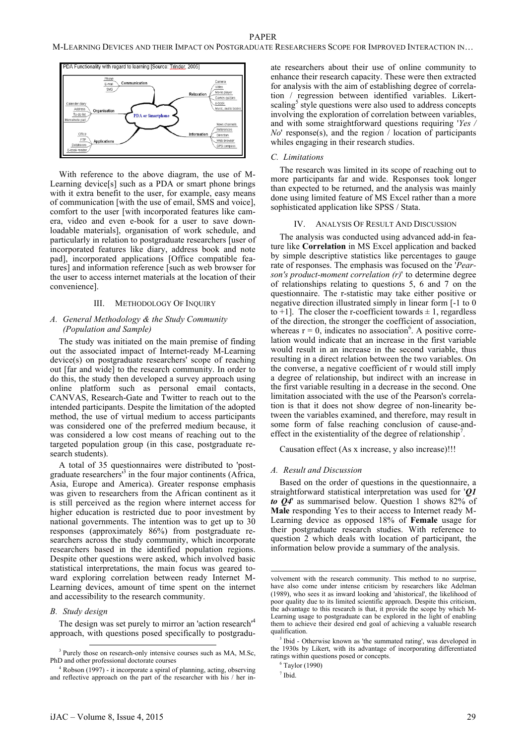

With reference to the above diagram, the use of M-Learning device[s] such as a PDA or smart phone brings with it extra benefit to the user, for example, easy means of communication [with the use of email, SMS and voice], comfort to the user [with incorporated features like camera, video and even e-book for a user to save downloadable materials], organisation of work schedule, and particularly in relation to postgraduate researchers [user of incorporated features like diary, address book and note pad], incorporated applications [Office compatible features] and information reference [such as web browser for the user to access internet materials at the location of their convenience].

# III. METHODOLOGY OF INQUIRY

## *A. General Methodology & the Study Community (Population and Sample)*

The study was initiated on the main premise of finding out the associated impact of Internet-ready M-Learning device(s) on postgraduate researchers' scope of reaching out [far and wide] to the research community. In order to do this, the study then developed a survey approach using online platform such as personal email contacts, CANVAS, Research-Gate and Twitter to reach out to the intended participants. Despite the limitation of the adopted method, the use of virtual medium to access participants was considered one of the preferred medium because, it was considered a low cost means of reaching out to the targeted population group (in this case, postgraduate research students).

A total of 35 questionnaires were distributed to 'postgraduate researchers<sup>3</sup> in the four major continents (Africa, Asia, Europe and America). Greater response emphasis was given to researchers from the African continent as it is still perceived as the region where internet access for higher education is restricted due to poor investment by national governments. The intention was to get up to 30 responses (approximately 86%) from postgraduate researchers across the study community, which incorporate researchers based in the identified population regions. Despite other questions were asked, which involved basic statistical interpretations, the main focus was geared toward exploring correlation between ready Internet M-Learning devices, amount of time spent on the internet and accessibility to the research community.

#### *B. Study design*

The design was set purely to mirror an 'action research'<sup>4</sup> approach, with questions posed specifically to postgradu-

## *C. Limitations*

The research was limited in its scope of reaching out to more participants far and wide. Responses took longer than expected to be returned, and the analysis was mainly done using limited feature of MS Excel rather than a more sophisticated application like SPSS / Stata.

#### IV. ANALYSIS OF RESULT AND DISCUSSION

The analysis was conducted using advanced add-in feature like **Correlation** in MS Excel application and backed by simple descriptive statistics like percentages to gauge rate of responses. The emphasis was focused on the '*Pearson's product-moment correlation (r)*' to determine degree of relationships relating to questions 5, 6 and 7 on the questionnaire. The r-statistic may take either positive or negative direction illustrated simply in linear form [-1 to 0 to  $+1$ ]. The closer the r-coefficient towards  $\pm 1$ , regardless of the direction, the stronger the coefficient of association, whereas  $r = 0$ , indicates no association<sup>6</sup>. A positive correlation would indicate that an increase in the first variable would result in an increase in the second variable, thus resulting in a direct relation between the two variables. On the converse, a negative coefficient of r would still imply a degree of relationship, but indirect with an increase in the first variable resulting in a decrease in the second. One limitation associated with the use of the Pearson's correlation is that it does not show degree of non-linearity between the variables examined, and therefore, may result in some form of false reaching conclusion of cause-andeffect in the existentiality of the degree of relationship<sup>7</sup>.

Causation effect (As x increase, y also increase)!!!

#### *A. Result and Discussion*

Based on the order of questions in the questionnaire, a straightforward statistical interpretation was used for '*Q1 to Q4*' as summarised below. Question 1 shows 82% of **Male** responding Yes to their access to Internet ready M-Learning device as opposed 18% of **Female** usage for their postgraduate research studies. With reference to question 2 which deals with location of participant, the information below provide a summary of the analysis.

 $<sup>7</sup>$  Ibid.</sup>

j

<sup>&</sup>lt;sup>3</sup> Purely those on research-only intensive courses such as MA, M.Sc, PhD and other professional doctorate courses

<sup>4</sup> Robson (1997) - it incorporate a spiral of planning, acting, observing and reflective approach on the part of the researcher with his / her in-

volvement with the research community. This method to no surprise, have also come under intense criticism by researchers like Adelman (1989), who sees it as inward looking and 'ahistorical', the likelihood of poor quality due to its limited scientific approach. Despite this criticism, the advantage to this research is that, it provide the scope by which M-Learning usage to postgraduate can be explored in the light of enabling them to achieve their desired end goal of achieving a valuable research qualification.

<sup>5</sup> Ibid - Otherwise known as 'the summated rating', was developed in the 1930s by Likert, with its advantage of incorporating differentiated ratings within questions posed or concepts. 6 Taylor (1990)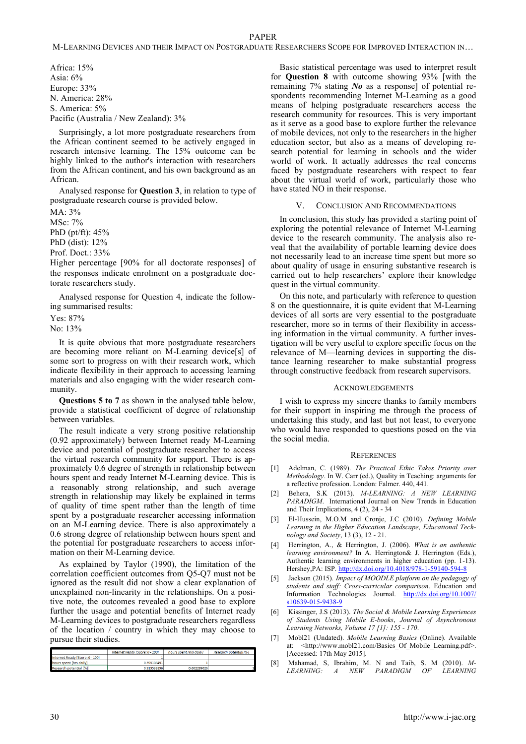# PAPER

Africa: 15% Asia: 6% Europe: 33% N. America: 28% S. America: 5% Pacific (Australia / New Zealand): 3%

Surprisingly, a lot more postgraduate researchers from the African continent seemed to be actively engaged in research intensive learning. The 15% outcome can be highly linked to the author's interaction with researchers from the African continent, and his own background as an African.

Analysed response for **Question 3**, in relation to type of postgraduate research course is provided below.

MA: 3%

MSc: 7%

PhD (pt/ft): 45%

PhD (dist): 12%

Prof. Doct.: 33%

Higher percentage [90% for all doctorate responses] of the responses indicate enrolment on a postgraduate doctorate researchers study.

Analysed response for Question 4, indicate the following summarised results:

Yes: 87%

No: 13%

It is quite obvious that more postgraduate researchers are becoming more reliant on M-Learning device[s] of some sort to progress on with their research work, which indicate flexibility in their approach to accessing learning materials and also engaging with the wider research community.

**Questions 5 to 7** as shown in the analysed table below, provide a statistical coefficient of degree of relationship between variables.

The result indicate a very strong positive relationship (0.92 approximately) between Internet ready M-Learning device and potential of postgraduate researcher to access the virtual research community for support. There is approximately 0.6 degree of strength in relationship between hours spent and ready Internet M-Learning device. This is a reasonably strong relationship, and such average strength in relationship may likely be explained in terms of quality of time spent rather than the length of time spent by a postgraduate researcher accessing information on an M-Learning device. There is also approximately a 0.6 strong degree of relationship between hours spent and the potential for postgraduate researchers to access information on their M-Learning device.

As explained by Taylor (1990), the limitation of the correlation coefficient outcomes from Q5-Q7 must not be ignored as the result did not show a clear explanation of unexplained non-linearity in the relationships. On a positive note, the outcomes revealed a good base to explore further the usage and potential benefits of Internet ready M-Learning devices to postgraduate researchers regardless of the location / country in which they may choose to pursue their studies.

|                                 | Internet Ready (Score: 0 - 100) | hours spent [hrs daily] | <b>Research potential [%]</b> |
|---------------------------------|---------------------------------|-------------------------|-------------------------------|
| Internet Ready [Score: 0 - 100] |                                 |                         |                               |
| hours spent [hrs daily]         | 0.595108491                     |                         |                               |
| Research potential [%]          | 0.919538296                     | 0.602299026             |                               |

Basic statistical percentage was used to interpret result for **Question 8** with outcome showing 93% [with the remaining 7% stating *No* as a response] of potential respondents recommending Internet M-Learning as a good means of helping postgraduate researchers access the research community for resources. This is very important as it serve as a good base to explore further the relevance of mobile devices, not only to the researchers in the higher education sector, but also as a means of developing research potential for learning in schools and the wider world of work. It actually addresses the real concerns faced by postgraduate researchers with respect to fear about the virtual world of work, particularly those who have stated NO in their response.

#### **CONCLUSION AND RECOMMENDATIONS**

In conclusion, this study has provided a starting point of exploring the potential relevance of Internet M-Learning device to the research community. The analysis also reveal that the availability of portable learning device does not necessarily lead to an increase time spent but more so about quality of usage in ensuring substantive research is carried out to help researchers' explore their knowledge quest in the virtual community.

On this note, and particularly with reference to question 8 on the questionnaire, it is quite evident that M-Learning devices of all sorts are very essential to the postgraduate researcher, more so in terms of their flexibility in accessing information in the virtual community. A further investigation will be very useful to explore specific focus on the relevance of M—learning devices in supporting the distance learning researcher to make substantial progress through constructive feedback from research supervisors.

#### ACKNOWLEDGEMENTS

I wish to express my sincere thanks to family members for their support in inspiring me through the process of undertaking this study, and last but not least, to everyone who would have responded to questions posed on the via the social media.

#### **REFERENCES**

- [1] Adelman, C. (1989). *The Practical Ethic Takes Priority over Methodology*. In W. Carr (ed.), Quality in Teaching: arguments for a reflective profession. London: Falmer. 440, 441.
- [2] Behera, S.K (2013). *M-LEARNING: A NEW LEARNING PARADIGM*. International Journal on New Trends in Education and Their Implications, 4 (2), 24 - 34
- [3] El-Hussein, M.O.M and Cronje, J.C (2010). *Defining Mobile Learning in the Higher Education Landscape*, *Educational Technology and Society*, 13 (3), 12 - 21.
- [4] Herrington, A., & Herrington, J. (2006). *What is an authentic learning environment?* In A. Herrington& J. Herrington (Eds.), Authentic learning environments in higher education (pp. 1-13). Hershey,PA: ISP. http://dx.doi.org/10.4018/978-1-59140-594-8
- [5] Jackson (2015). *Impact of MOODLE platform on the pedagogy of students and staff: Cross-curricular comparison*. Education and Information Technologies Journal. http://dx.doi.org/10.1007/ s10639-015-9438-9
- [6] Kissinger, J.S (2013). *The Social & Mobile Learning Experiences of Students Using Mobile E-books*, *Journal of Asynchronous Learning Networks, Volume 17 [1]: 155 - 170*.
- [7] Mobl21 (Undated). *Mobile Learning Basics* (Online). Available at: <http://www.mobl21.com/Basics\_Of\_Mobile\_Learning.pdf>. [Accessed: 17th May 2015].
- [8] Mahamad, S, Ibrahim, M. N and Taib, S. M (2010). *M-LEARNING: A NEW PARADIGM OF LEARNING*